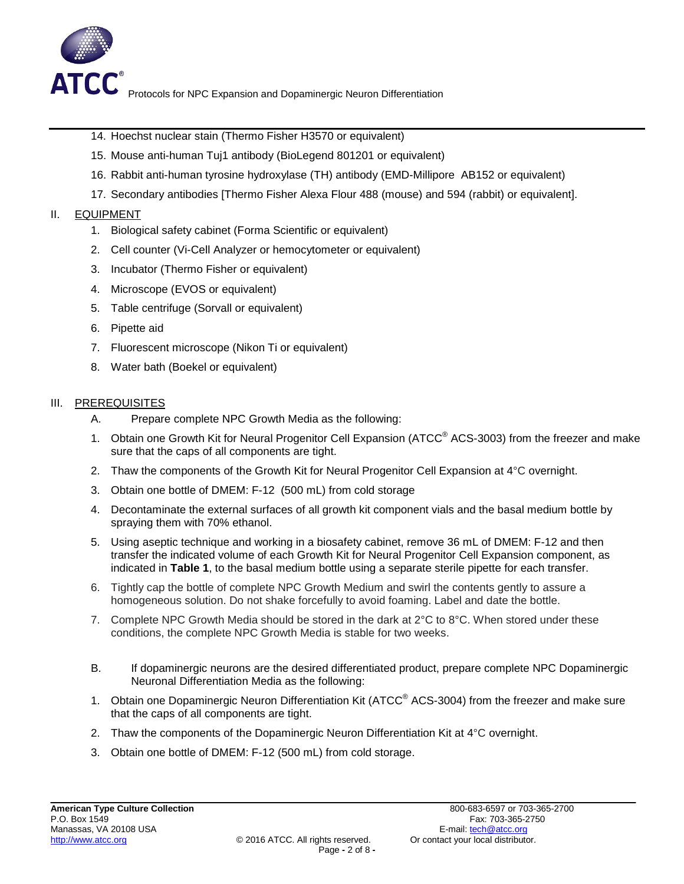

- 14. Hoechst nuclear stain (Thermo Fisher H3570 or equivalent)
- 15. Mouse anti-human Tuj1 antibody (BioLegend 801201 or equivalent)
- 16. Rabbit anti-human tyrosine hydroxylase (TH) antibody (EMD-Millipore AB152 or equivalent)
- 17. Secondary antibodies [Thermo Fisher Alexa Flour 488 (mouse) and 594 (rabbit) or equivalent].

## II. EQUIPMENT

- 1. Biological safety cabinet (Forma Scientific or equivalent)
- 2. Cell counter (Vi-Cell Analyzer or hemocytometer or equivalent)
- 3. Incubator (Thermo Fisher or equivalent)
- 4. Microscope (EVOS or equivalent)
- 5. Table centrifuge (Sorvall or equivalent)
- 6. Pipette aid
- 7. Fluorescent microscope (Nikon Ti or equivalent)
- 8. Water bath (Boekel or equivalent)

## III. PREREQUISITES

- A. Prepare complete NPC Growth Media as the following:
- 1. Obtain one Growth Kit for Neural Progenitor Cell Expansion (ATCC<sup>®</sup> ACS-3003) from the freezer and make sure that the caps of all components are tight.
- 2. Thaw the components of the Growth Kit for Neural Progenitor Cell Expansion at  $4^{\circ}$ C overnight.
- 3. Obtain one bottle of DMEM: F-12 (500 mL) from cold storage
- 4. Decontaminate the external surfaces of all growth kit component vials and the basal medium bottle by spraying them with 70% ethanol.
- 5. Using aseptic technique and working in a biosafety cabinet, remove 36 mL of DMEM: F-12 and then transfer the indicated volume of each Growth Kit for Neural Progenitor Cell Expansion component, as indicated in **Table 1**, to the basal medium bottle using a separate sterile pipette for each transfer.
- 6. Tightly cap the bottle of complete NPC Growth Medium and swirl the contents gently to assure a homogeneous solution. Do not shake forcefully to avoid foaming. Label and date the bottle.
- 7. Complete NPC Growth Media should be stored in the dark at  $2^{\circ}C$  to  $8^{\circ}C$ . When stored under these conditions, the complete NPC Growth Media is stable for two weeks.
- B. If dopaminergic neurons are the desired differentiated product, prepare complete NPC Dopaminergic Neuronal Differentiation Media as the following:
- 1. Obtain one Dopaminergic Neuron Differentiation Kit (ATCC<sup>®</sup> ACS-3004) from the freezer and make sure that the caps of all components are tight.
- 2. Thaw the components of the Dopaminergic Neuron Differentiation Kit at 4°C overnight.
- 3. Obtain one bottle of DMEM: F-12 (500 mL) from cold storage.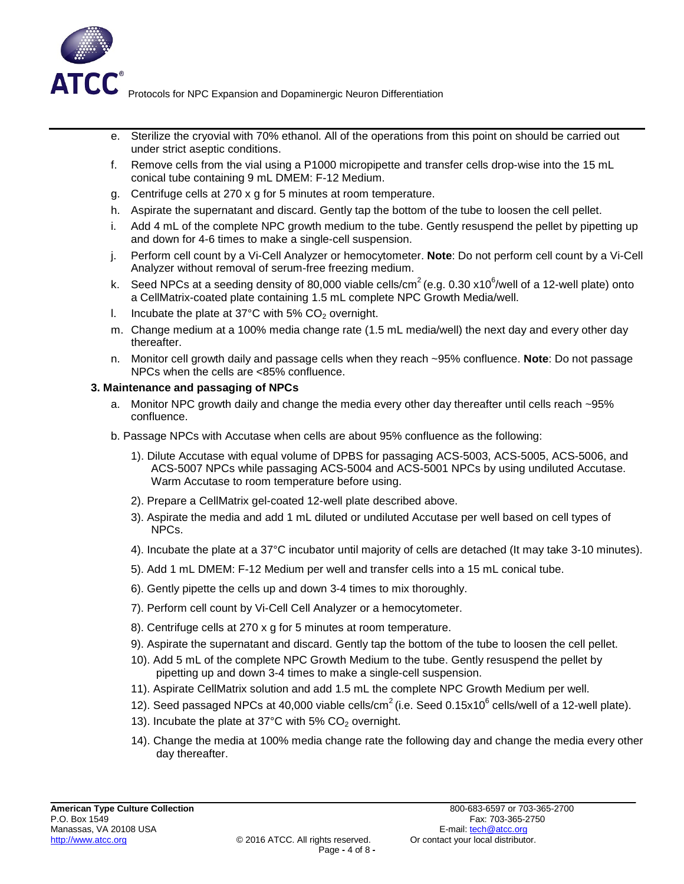

- H Sterilize the cryovial with 70% ethanol. All of the operations from this point on should be carried out under strict aseptic conditions.
- I Remove cells from the vial using a P1000 micropipette and transfer cells drop-wise into the 15 mL conical tube containing 9 mL DMEM: F-12 Medium.
- J Centrifuge cells at 270 x g for 5 minutes at room temperature.
- KAspirate the supernatant and discard. Gently tap the bottom of the tube to loosen the cell pellet.
- L Add 4 mL of the complete NPC growth medium to the tube. Gently resuspend the pellet by pipetting up and down for 4-6 times to make a single-cell suspension.
- MPerform cell count by a Vi-Cell Analyzer or hemocytometer. **Note**: Do not perform cell count by a Vi-Cell Analyzer without removal of serum-free freezing medium.
- N Seed NPCs at a seeding density of 80,000 viable cells/cm<sup>2</sup> (e.g. 0.30 x10<sup>6</sup>/well of a 12-well plate) onto a Cell % D V H P HoQted Nolate Contribution of 1.5 mD complete NPC Growth Media/well.
- O Incubate the plate at  $37^{\circ}$ C with 5% CO<sub>2</sub> overnight.
- PChange medium at a 100% media change rate (1.5 mL media/well) the next day and every other day thereafter.
- QMonitor cell growth daily and passage cells when they reach ~95% confluence. **Note**: Do not passage NPCs when the cells are <85% confluence.

#### **3. Maintenance and passaging of NPCs**

- a. Monitor NPC growth daily and change the media every other day thereafter until cells reach ~95% confluence.
- b. Passage NPCs with Accutase when cells are about 95% confluence as the following:
	- 1). Dilute Accutase with equal volume of DPBS for passaging ACS-5003, ACS-5005, ACS-5006, and ACS-5007 NPCs while passaging ACS-5004 and ACS-5001 NPCs by using undiluted Accutase. Warm Accutase to room temperature before using.
	- 2). Prepare a Cell  $\%$ H DP VH Q W  $\%$  Ood the dP1  $2$  Ewell plate Colder described above.
	- 3). Aspirate the media and add 1 mL diluted or undiluted Accutase per well based on cell types of NPCs.
	- 4). Incubate the plate at a 37°C incubator until majority of cells are detached (It may take 3-10 minutes).
	- 5). Add 1 mL DMEM: F-12 Medium per well and transfer cells into a 15 mL conical tube.
	- 6). Gently pipette the cells up and down 3-4 times to mix thoroughly.
	- 7). Perform cell count by Vi-Cell Cell Analyzer or a hemocytometer.
	- 8). Centrifuge cells at 270 x g for 5 minutes at room temperature.
	- 9). Aspirate the supernatant and discard. Gently tap the bottom of the tube to loosen the cell pellet.
	- 10). Add 5 mL of the complete NPC Growth Medium to the tube. Gently resuspend the pellet by pipetting up and down 3-4 times to make a single-cell suspension.
	- 11). Aspirate Cell Basement Membrane solution; add 1.5 mL complete NPC Growth Medium per well.
	- 12). Seed passaged NPCs at 40,000 viable cells/cm<sup>2</sup> (i.e. Seed 0.15x10<sup>6</sup> cells/well of a 12-well plate).
	- 13). Incubate the plate at  $37^{\circ}$ C with 5% CO<sub>2</sub> overnight.
	- 14). Change the media at 100% media change rate the following day and change the media every other day thereafter.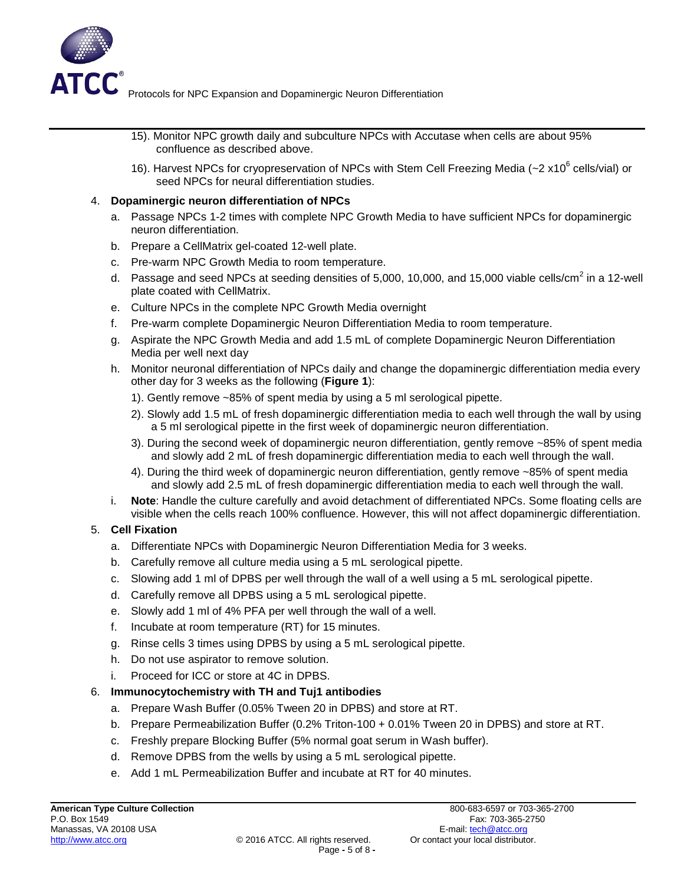

- 15). Monitor NPC growth daily and subculture NPCs with Accutase when cells are about 95% confluence as described above.
- 16). Harvest NPCs for cryopreservation of NPCs with Stem Cell Freezing Media (~2 x10<sup>6</sup> cells/vial) or seed NPCs for neural differentiation studies.

#### 4. **Dopaminergic neuron differentiation of NPCs**

- a. Passage NPCs 1-2 times with complete NPC Growth Media to have sufficient NPCs for dopaminergic neuron differentiation.
- b. Prepare a Cell Basement Membrane gel-coated 12-well plate.
- c. Pre-warm NPC Growth Media to room temperature.
- d. Passage and seed NPCs at seeding densities of 5,000, 10,000, and 15,000 viable cells/cm<sup>2</sup> in a 12-well plate coated with Cell Basement Membrane.
- e. Culture NPCs in the complete NPC Growth Media overnight
- f. Pre-warm complete Dopaminergic Neuron Differentiation Media to room temperature.
- g. Aspirate the NPC Growth Media and add 1.5 mL of complete Dopaminergic Neuron Differentiation Media per well next day
- h. Monitor neuronal differentiation of NPCs daily and change the dopaminergic differentiation media every other day for 3 weeks as the following (**Figure 1**):
	- 1). Gently remove ~85% of spent media by using a 5 ml serological pipette.
	- 2). Slowly add 1.5 mL of fresh dopaminergic differentiation media to each well through the wall by using a 5 ml serological pipette in the first week of dopaminergic neuron differentiation.
	- 3). During the second week of dopaminergic neuron differentiation, gently remove ~85% of spent media and slowly add 2 mL of fresh dopaminergic differentiation media to each well through the wall.
	- 4). During the third week of dopaminergic neuron differentiation, gently remove ~85% of spent media and slowly add 2.5 mL of fresh dopaminergic differentiation media to each well through the wall.
- i. **Note**: Handle the culture carefully and avoid detachment of differentiated NPCs. Some floating cells are visible when the cells reach 100% confluence. However, this will not affect dopaminergic differentiation.

## 5. **Cell Fixation**

- a. Differentiate NPCs with Dopaminergic Neuron Differentiation Media for 3 weeks.
- b. Carefully remove all culture media using a 5 mL serological pipette.
- c. Slowing add 1 ml of DPBS per well through the wall of a well using a 5 mL serological pipette.
- d. Carefully remove all DPBS using a 5 mL serological pipette.
- e. Slowly add 1 ml of 4% PFA per well through the wall of a well.
- f. Incubate at room temperature (RT) for 15 minutes.
- g. Rinse cells 3 times using DPBS by using a 5 mL serological pipette.
- h. Do not use aspirator to remove solution.
- i. Proceed for ICC or store at 4C in DPBS.

## 6. **Immunocytochemistry with TH and Tuj1 antibodies**

- a. Prepare Wash Buffer (0.05% Tween 20 in DPBS) and store at RT.
- b. Prepare Permeabilization Buffer (0.2% Triton-100 + 0.01% Tween 20 in DPBS) and store at RT.
- c. Freshly prepare Blocking Buffer (5% normal goat serum in Wash buffer).
- d. Remove DPBS from the wells by using a 5 mL serological pipette.
- e. Add 1 mL Permeabilization Buffer and incubate at RT for 40 minutes.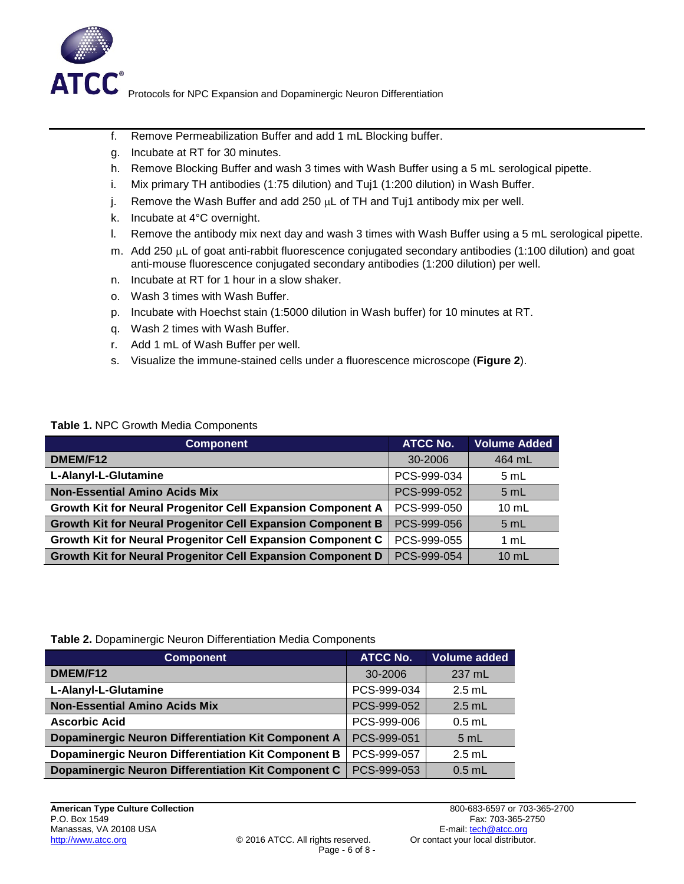

- f. Remove Permeabilization Buffer and add 1 mL Blocking buffer.
- g. Incubate at RT for 30 minutes.
- h. Remove Blocking Buffer and wash 3 times with Wash Buffer using a 5 mL serological pipette.
- i. Mix primary TH antibodies (1:75 dilution) and Tuj1 (1:200 dilution) in Wash Buffer.
- j. Remove the Wash Buffer and add 250  $\mu$ L of TH and Tuj1 antibody mix per well.
- k. Incubate at 4°C overnight.
- l. Remove the antibody mix next day and wash 3 times with Wash Buffer using a 5 mL serological pipette.
- m. Add 250 µL of goat anti-rabbit fluorescence conjugated secondary antibodies (1:100 dilution) and goat anti-mouse fluorescence conjugated secondary antibodies (1:200 dilution) per well.
- n. Incubate at RT for 1 hour in a slow shaker.
- o. Wash 3 times with Wash Buffer.
- p. Incubate with Hoechst stain (1:5000 dilution in Wash buffer) for 10 minutes at RT.
- q. Wash 2 times with Wash Buffer.
- r. Add 1 mL of Wash Buffer per well.
- s. Visualize the immune-stained cells under a fluorescence microscope (**Figure 2**).

#### **Table 1.** NPC Growth Media Components

| <b>Component</b>                                            | <b>ATCC No.</b> | <b>Volume Added</b> |  |
|-------------------------------------------------------------|-----------------|---------------------|--|
| DMEM/F12                                                    | 30-2006         | 464 mL              |  |
| L-Alanyl-L-Glutamine                                        | PCS-999-034     | 5 mL                |  |
| <b>Non-Essential Amino Acids Mix</b>                        | PCS-999-052     | 5 mL                |  |
| Growth Kit for Neural Progenitor Cell Expansion Component A | PCS-999-050     | $10 \text{ mL}$     |  |
| Growth Kit for Neural Progenitor Cell Expansion Component B | PCS-999-056     | 5 mL                |  |
| Growth Kit for Neural Progenitor Cell Expansion Component C | PCS-999-055     | 1 mL                |  |
| Growth Kit for Neural Progenitor Cell Expansion Component D | PCS-999-054     | $10 \text{ mL}$     |  |

**Table 2.** Dopaminergic Neuron Differentiation Media Components

| <b>Component</b>                                    | <b>ATCC No.</b> | <b>Volume added</b> |  |
|-----------------------------------------------------|-----------------|---------------------|--|
| DMEM/F12                                            | 30-2006         | 237 mL              |  |
| L-Alanyl-L-Glutamine                                | PCS-999-034     | $2.5$ mL            |  |
| <b>Non-Essential Amino Acids Mix</b>                | PCS-999-052     | $2.5$ mL            |  |
| <b>Ascorbic Acid</b>                                | PCS-999-006     | $0.5$ mL            |  |
| Dopaminergic Neuron Differentiation Kit Component A | PCS-999-051     | 5 mL                |  |
| Dopaminergic Neuron Differentiation Kit Component B | PCS-999-057     | $2.5$ mL            |  |
| Dopaminergic Neuron Differentiation Kit Component C | PCS-999-053     | $0.5$ mL            |  |

 $\overline{\phantom{a}}$  , and the contract of the contract of the contract of the contract of the contract of the contract of the contract of the contract of the contract of the contract of the contract of the contract of the contrac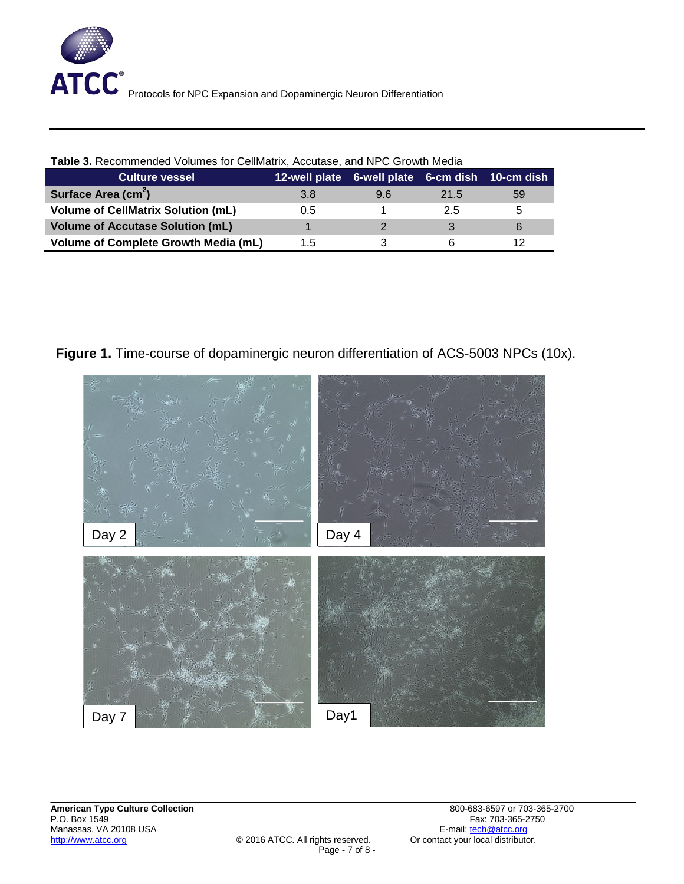

| <b>Table 3.</b> Recommended Volumes for Cell Basement Membrane solution, Accutase solution, and NPC Growth Med |                                                 |     |      |    |  |  |
|----------------------------------------------------------------------------------------------------------------|-------------------------------------------------|-----|------|----|--|--|
| <b>Culture vessel</b>                                                                                          | 12-well plate 6-well plate 6-cm dish 10-cm dish |     |      |    |  |  |
| Surface Area (cm <sup>2</sup> )                                                                                | 3.8                                             | 9.6 | 21.5 | 59 |  |  |
| <b>Volume Cell Basement Membrane (mL)</b>                                                                      | 0.5                                             |     | 2.5  |    |  |  |
| <b>Volume of Accutase (mL)</b>                                                                                 |                                                 |     |      |    |  |  |
| <b>Volume of Complete Growth Media (mL)</b>                                                                    | 1.5                                             |     |      |    |  |  |

**Table 3.** Recommended Volumes for Cell Basement Membrane solution, Accutase solution, and NPC Growth Media

Figure 1. Time-course of dopaminergic neuron differentiation of ACS-5003 NPCs (10x).



 $\overline{\phantom{a}}$  , and the contract of the contract of the contract of the contract of the contract of the contract of the contract of the contract of the contract of the contract of the contract of the contract of the contrac